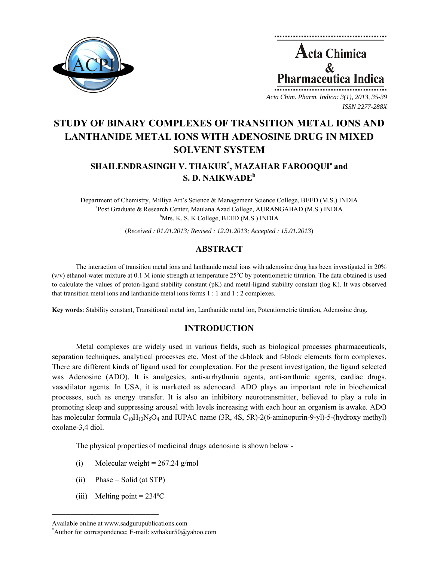



**STUDY OF BINARY COMPLEXES OF TRANSITION METAL IONS AND LANTHANIDE METAL IONS WITH ADENOSINE DRUG IN MIXED SOLVENT SYSTEM** 

# SHAILENDRASINGH V. THAKUR<sup>\*</sup>, MAZAHAR FAROOQUI<sup>a</sup> and **S. D. NAIKWADE<sup>b</sup>**

Department of Chemistry, Milliya Art's Science & Management Science College, BEED (M.S.) INDIA a <sup>a</sup>Post Graduate & Research Center, Maulana Azad College, AURANGABAD (M.S.) INDIA <sup>b</sup>Mrs. K. S. K College, BEED (M.S.) INDIA

(*Received : 01.01.2013; Revised : 12.01.2013; Accepted : 15.01.2013*)

# **ABSTRACT**

The interaction of transition metal ions and lanthanide metal ions with adenosine drug has been investigated in 20%  $(v/v)$  ethanol-water mixture at 0.1 M ionic strength at temperature 25 $^{\circ}$ C by potentiometric titration. The data obtained is used to calculate the values of proton-ligand stability constant (pK) and metal-ligand stability constant (log K). It was observed that transition metal ions and lanthanide metal ions forms 1 : 1 and 1 : 2 complexes.

**Key words**: Stability constant, Transitional metal ion, Lanthanide metal ion, Potentiometric titration, Adenosine drug.

# **INTRODUCTION**

Metal complexes are widely used in various fields, such as biological processes pharmaceuticals, separation techniques, analytical processes etc. Most of the d-block and f-block elements form complexes. There are different kinds of ligand used for complexation. For the present investigation, the ligand selected was Adenosine (ADO). It is analgesics, anti-arrhythmia agents, anti-arrthmic agents, cardiac drugs, vasodilator agents. In USA, it is marketed as adenocard. ADO plays an important role in biochemical processes, such as energy transfer. It is also an inhibitory neurotransmitter, believed to play a role in promoting sleep and suppressing arousal with levels increasing with each hour an organism is awake. ADO has molecular formula  $C_{10}H_{13}N_5O_4$  and IUPAC name (3R, 4S, 5R)-2(6-aminopurin-9-yl)-5-(hydroxy methyl) oxolane-3,4 diol.

The physical properties of medicinal drugs adenosine is shown below -

- (i) Molecular weight =  $267.24$  g/mol
- $(ii)$  Phase = Solid (at STP)
- (iii) Melting point  $= 234$ <sup>o</sup>C

 $\mathcal{L} = \{ \mathcal{L} \}$ 

Available online at www.sadgurupublications.com \*

Author for correspondence; E-mail: svthakur50@yahoo.com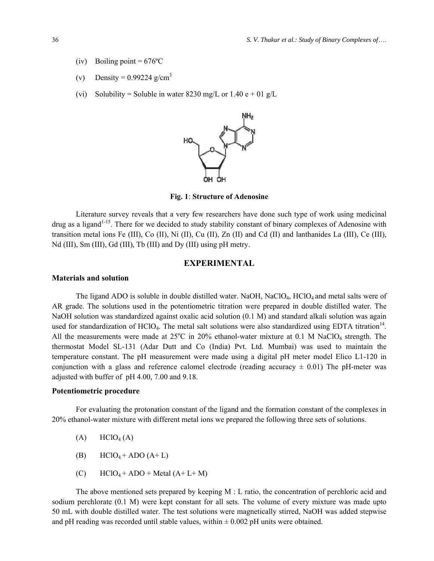- (iv) Boiling point =  $676^{\circ}$ C
- (v) Density =  $0.99224$  g/cm<sup>3</sup>
- (vi) Solubility = Soluble in water 8230 mg/L or 1.40 e + 01 g/L



**Fig. 1**: **Structure of Adenosine**

Literature survey reveals that a very few researchers have done such type of work using medicinal drug as a ligand<sup>1-15</sup>. There for we decided to study stability constant of binary complexes of Adenosine with transition metal ions Fe (III), Co (II), Ni (II), Cu (II), Zn (II) and Cd (II) and lanthanides La (III), Ce (III), Nd (III), Sm (III), Gd (III), Tb (III) and Dy (III) using pH metry.

#### **EXPERIMENTAL**

#### **Materials and solution**

The ligand ADO is soluble in double distilled water. NaOH, NaClO<sub>4</sub>, HClO<sub>4</sub> and metal salts were of AR grade. The solutions used in the potentiometric titration were prepared in double distilled water. The NaOH solution was standardized against oxalic acid solution (0.1 M) and standard alkali solution was again used for standardization of HClO<sub>4</sub>. The metal salt solutions were also standardized using EDTA titration<sup>14</sup>. All the measurements were made at  $25^{\circ}$ C in  $20\%$  ethanol-water mixture at 0.1 M NaClO<sub>4</sub> strength. The thermostat Model SL-131 (Adar Dutt and Co (India) Pvt. Ltd. Mumbai) was used to maintain the temperature constant. The pH measurement were made using a digital pH meter model Elico L1-120 in conjunction with a glass and reference calomel electrode (reading accuracy  $\pm$  0.01) The pH-meter was adjusted with buffer of pH 4.00, 7.00 and 9.18.

### **Potentiometric procedure**

For evaluating the protonation constant of the ligand and the formation constant of the complexes in 20% ethanol-water mixture with different metal ions we prepared the following three sets of solutions.

- $(A)$  HClO<sub>4</sub>  $(A)$
- (B)  $HClO_4 + ADO (A + L)$
- (C)  $HClO_4 + ADO + Metal (A+L+M)$

The above mentioned sets prepared by keeping M : L ratio, the concentration of perchloric acid and sodium perchlorate (0.1 M) were kept constant for all sets. The volume of every mixture was made upto 50 mL with double distilled water. The test solutions were magnetically stirred, NaOH was added stepwise and pH reading was recorded until stable values, within  $\pm 0.002$  pH units were obtained.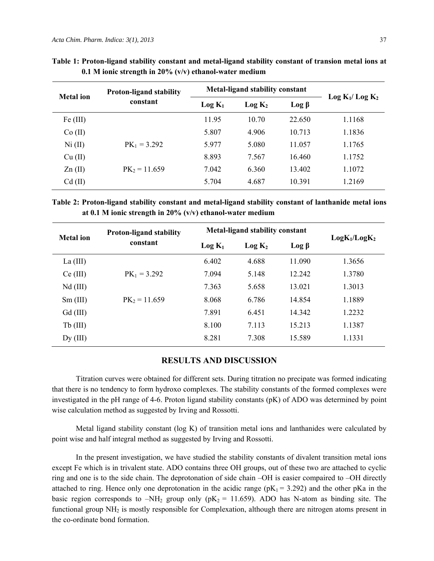| <b>Metal</b> ion | <b>Proton-ligand stability</b><br>constant | <b>Metal-ligand stability constant</b> |                    |                     |                                        |
|------------------|--------------------------------------------|----------------------------------------|--------------------|---------------------|----------------------------------------|
|                  |                                            | $Log K_1$                              | Log K <sub>2</sub> | $\text{Log } \beta$ | Log K <sub>1</sub> /Log K <sub>2</sub> |
| Fe (III)         |                                            | 11.95                                  | 10.70              | 22.650              | 1.1168                                 |
| Co (II)          |                                            | 5.807                                  | 4.906              | 10.713              | 1.1836                                 |
| Ni (II)          | $PK_1 = 3.292$                             | 5.977                                  | 5.080              | 11.057              | 1.1765                                 |
| Cu (II)          |                                            | 8.893                                  | 7.567              | 16.460              | 1.1752                                 |
| Zn(II)           | $PK_2 = 11.659$                            | 7.042                                  | 6.360              | 13.402              | 1.1072                                 |
| $Cd$ (II)        |                                            | 5.704                                  | 4.687              | 10.391              | 1.2169                                 |

**Table 1: Proton-ligand stability constant and metal-ligand stability constant of transion metal ions at 0.1 M ionic strength in 20% (v/v) ethanol-water medium** 

**Table 2: Proton-ligand stability constant and metal-ligand stability constant of lanthanide metal ions at 0.1 M ionic strength in 20% (v/v) ethanol-water medium** 

| <b>Metal</b> ion | <b>Proton-ligand stability</b><br>constant | <b>Metal-ligand stability constant</b> |           |             | LogK <sub>1</sub> /LogK <sub>2</sub> |
|------------------|--------------------------------------------|----------------------------------------|-----------|-------------|--------------------------------------|
|                  |                                            | $Log K_1$                              | $Log K_2$ | $Log \beta$ |                                      |
| La $(III)$       |                                            | 6.402                                  | 4.688     | 11.090      | 1.3656                               |
| Ce (III)         | $PK_1 = 3.292$                             | 7.094                                  | 5.148     | 12.242      | 1.3780                               |
| $Nd$ (III)       |                                            | 7.363                                  | 5.658     | 13.021      | 1.3013                               |
| $Sm$ (III)       | $PK_2 = 11.659$                            | 8.068                                  | 6.786     | 14.854      | 1.1889                               |
| $Gd$ (III)       |                                            | 7.891                                  | 6.451     | 14.342      | 1.2232                               |
| $Tb$ (III)       |                                            | 8.100                                  | 7.113     | 15.213      | 1.1387                               |
| $Dy$ (III)       |                                            | 8.281                                  | 7.308     | 15.589      | 1.1331                               |

# **RESULTS AND DISCUSSION**

Titration curves were obtained for different sets. During titration no precipate was formed indicating that there is no tendency to form hydroxo complexes. The stability constants of the formed complexes were investigated in the pH range of 4-6. Proton ligand stability constants (pK) of ADO was determined by point wise calculation method as suggested by Irving and Rossotti.

Metal ligand stability constant (log K) of transition metal ions and lanthanides were calculated by point wise and half integral method as suggested by Irving and Rossotti.

In the present investigation, we have studied the stability constants of divalent transition metal ions except Fe which is in trivalent state. ADO contains three OH groups, out of these two are attached to cyclic ring and one is to the side chain. The deprotonation of side chain –OH is easier compaired to –OH directly attached to ring. Hence only one deprotonation in the acidic range ( $pK_1 = 3.292$ ) and the other pKa in the basic region corresponds to  $-NH_2$  group only ( $pK_2 = 11.659$ ). ADO has N-atom as binding site. The functional group NH<sub>2</sub> is mostly responsible for Complexation, although there are nitrogen atoms present in the co-ordinate bond formation.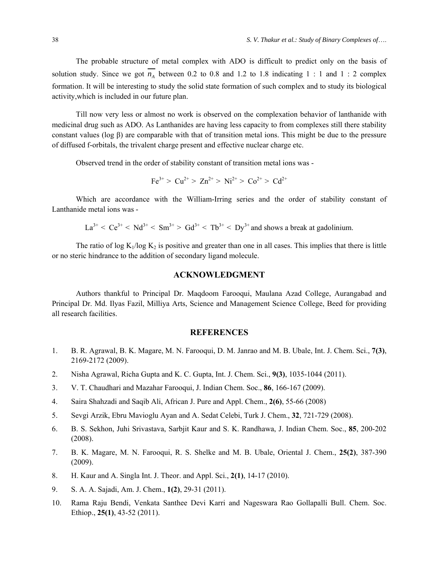The probable structure of metal complex with ADO is difficult to predict only on the basis of solution study. Since we got  $\overline{n_{A}}$  between 0.2 to 0.8 and 1.2 to 1.8 indicating 1 : 1 and 1 : 2 complex formation. It will be interesting to study the solid state formation of such complex and to study its biological activity,which is included in our future plan.

Till now very less or almost no work is observed on the complexation behavior of lanthanide with medicinal drug such as ADO. As Lanthanides are having less capacity to from complexes still there stability constant values (log β) are comparable with that of transition metal ions. This might be due to the pressure of diffused f-orbitals, the trivalent charge present and effective nuclear charge etc.

Observed trend in the order of stability constant of transition metal ions was -

$$
Fe^{3+} > Cu^{2+} > Zn^{2+} > Ni^{2+} > Co^{2+} > Cd^{2+}
$$

Which are accordance with the William-Irring series and the order of stability constant of Lanthanide metal ions was -

 $La^{3+} < Ce^{3+} < Nd^{3+} < Sm^{3+} > Gd^{3+} < Tb^{3+} < Dx^{3+}$  and shows a break at gadolinium.

The ratio of log  $K_1/\log K_2$  is positive and greater than one in all cases. This implies that there is little or no steric hindrance to the addition of secondary ligand molecule.

## **ACKNOWLEDGMENT**

Authors thankful to Principal Dr. Maqdoom Farooqui, Maulana Azad College, Aurangabad and Principal Dr. Md. Ilyas Fazil, Milliya Arts, Science and Management Science College, Beed for providing all research facilities.

### **REFERENCES**

- 1. B. R. Agrawal, B. K. Magare, M. N. Farooqui, D. M. Janrao and M. B. Ubale, Int. J. Chem. Sci., **7(3)**, 2169-2172 (2009).
- 2. Nisha Agrawal, Richa Gupta and K. C. Gupta, Int. J. Chem. Sci., **9(3)**, 1035-1044 (2011).
- 3. V. T. Chaudhari and Mazahar Farooqui, J. Indian Chem. Soc., **86**, 166-167 (2009).
- 4. Saira Shahzadi and Saqib Ali, African J. Pure and Appl. Chem., **2(6)**, 55-66 (2008)
- 5. Sevgi Arzik, Ebru Mavioglu Ayan and A. Sedat Celebi, Turk J. Chem., **32**, 721-729 (2008).
- 6. B. S. Sekhon, Juhi Srivastava, Sarbjit Kaur and S. K. Randhawa, J. Indian Chem. Soc., **85**, 200-202 (2008).
- 7. B. K. Magare, M. N. Farooqui, R. S. Shelke and M. B. Ubale, Oriental J. Chem., **25(2)**, 387-390 (2009).
- 8. H. Kaur and A. Singla Int. J. Theor. and Appl. Sci., **2(1)**, 14-17 (2010).
- 9. S. A. A. Sajadi, Am. J. Chem., **1(2)**, 29-31 (2011).
- 10. Rama Raju Bendi, Venkata Santhee Devi Karri and Nageswara Rao Gollapalli Bull. Chem. Soc. Ethiop., **25(1)**, 43-52 (2011).